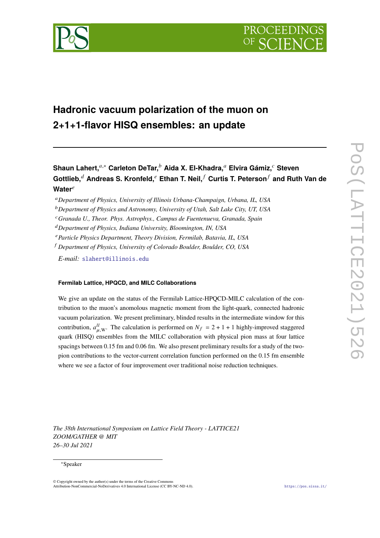

# **Hadronic vacuum polarization of the muon on 2+1+1-flavor HISQ ensembles: an update**

# **Shaun Lahert,**𝑎,<sup>∗</sup> **Carleton DeTar,**<sup>𝑏</sup> **Aida X. El-Khadra,**<sup>𝑎</sup> **Elvira Gámiz,**<sup>𝑐</sup> **Steven Gottlieb,**<sup>𝑑</sup> **Andreas S. Kronfeld,**<sup>𝑒</sup> **Ethan T. Neil,** <sup>𝑓</sup> **Curtis T. Peterson**<sup>𝑓</sup> **and Ruth Van de** Water<sup>e</sup>

<sup>𝑎</sup>*Department of Physics, University of Illinois Urbana-Champaign, Urbana, IL, USA*

<sup>𝑏</sup>*Department of Physics and Astronomy, University of Utah, Salt Lake City, UT, USA*

<sup>𝑐</sup>*Granada U., Theor. Phys. Astrophys., Campus de Fuentenueva, Granada, Spain*

<sup>𝑑</sup>*Department of Physics, Indiana University, Bloomington, IN, USA*

<sup>𝑒</sup>*Particle Physics Department, Theory Division, Fermilab, Batavia, IL, USA*

<sup>𝑓</sup> *Department of Physics, University of Colorado Boulder, Boulder, CO, USA*

*E-mail:* [slahert@illinois.edu](mailto:slahert@illinois.edu)

## **Fermilab Lattice, HPQCD, and MILC Collaborations**

We give an update on the status of the Fermilab Lattice-HPQCD-MILC calculation of the contribution to the muon's anomolous magnetic moment from the light-quark, connected hadronic vacuum polarization. We present preliminary, blinded results in the intermediate window for this contribution,  $a_{\mu,\text{W}}^{ll}$ . The calculation is performed on  $N_f = 2 + 1 + 1$  highly-improved staggered quark (HISQ) ensembles from the MILC collaboration with physical pion mass at four lattice spacings between 0.15 fm and 0.06 fm. We also present preliminary results for a study of the twopion contributions to the vector-current correlation function performed on the 0.15 fm ensemble where we see a factor of four improvement over traditional noise reduction techniques.

*The 38th International Symposium on Lattice Field Theory - LATTICE21 ZOOM/GATHER @ MIT 26–30 Jul 2021*

#### <sup>∗</sup>Speaker

 $\odot$  Copyright owned by the author(s) under the terms of the Creative Common Attribution-NonCommercial-NoDerivatives 4.0 International License (CC BY-NC-ND 4.0). <https://pos.sissa.it/>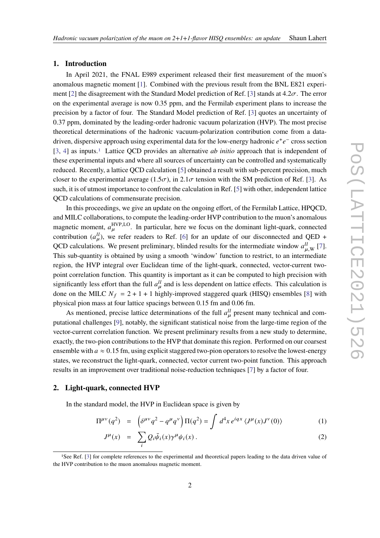#### **1. Introduction**

In April 2021, the FNAL E989 experiment released their first measurement of the muon's anomalous magnetic moment [\[1\]](#page-8-0). Combined with the previous result from the BNL E821 experi-ment [\[2\]](#page-8-1) the disagreement with the Standard Model prediction of Ref. [\[3\]](#page-8-2) stands at  $4.2\sigma$ . The error on the experimental average is now 0.35 ppm, and the Fermilab experiment plans to increase the precision by a factor of four. The Standard Model prediction of Ref. [\[3\]](#page-8-2) quotes an uncertainty of 0.37 ppm, dominated by the leading-order hadronic vacuum polarization (HVP). The most precise theoretical determinations of the hadronic vacuum-polarization contribution come from a datadriven, dispersive approach using experimental data for the low-energy hadronic  $e^+e^-$  cross section [\[3,](#page-8-2) [4\]](#page-8-3) as inputs.[1](#page-1-0) Lattice QCD provides an alternative *ab initio* approach that is independent of these experimental inputs and where all sources of uncertainty can be controlled and systematically reduced. Recently, a lattice QCD calculation [\[5\]](#page-8-4) obtained a result with sub-percent precision, much closer to the experimental average (1.5 $\sigma$ ), in 2.1 $\sigma$  tension with the SM prediction of Ref. [\[3\]](#page-8-2). As such, it is of utmost importance to confront the calculation in Ref. [\[5\]](#page-8-4) with other, independent lattice QCD calculations of commensurate precision.

In this proceedings, we give an update on the ongoing effort, of the Fermilab Lattice, HPQCD, and MILC collaborations, to compute the leading-order HVP contribution to the muon's anomalous magnetic moment,  $a_{\mu}^{\text{HVP},\text{LO}}$ . In particular, here we focus on the dominant light-quark, connected contribution  $(a_{\mu}^{ll})$ , we refer readers to Ref. [\[6\]](#page-8-5) for an update of our disconnected and QED + QCD calculations. We present preliminary, blinded results for the intermediate window  $a_{\mu,\text{W}}^{ll}$  [\[7\]](#page-8-6). This sub-quantity is obtained by using a smooth 'window' function to restrict, to an intermediate region, the HVP integral over Euclidean time of the light-quark, connected, vector-current twopoint correlation function. This quantity is important as it can be computed to high precision with significantly less effort than the full  $a<sub>u</sub><sup>ll</sup>$  and is less dependent on lattice effects. This calculation is done on the MILC  $N_f = 2 + 1 + 1$  highly-improved staggered quark (HISQ) ensembles [\[8\]](#page-8-7) with physical pion mass at four lattice spacings between 0.15 fm and 0.06 fm.

As mentioned, precise lattice determinations of the full  $a<sub>\mu</sub><sup>ll</sup>$  present many technical and computational challenges [\[9\]](#page-8-8), notably, the significant statistical noise from the large-time region of the vector-current correlation function. We present preliminary results from a new study to determine, exactly, the two-pion contributions to the HVP that dominate this region. Performed on our coarsest ensemble with  $a \approx 0.15$  fm, using explicit staggered two-pion operators to resolve the lowest-energy states, we reconstruct the light-quark, connected, vector current two-point function. This approach results in an improvement over traditional noise-reduction techniques [\[7\]](#page-8-6) by a factor of four.

# **2. Light-quark, connected HVP**

In the standard model, the HVP in Euclidean space is given by

$$
\Pi^{\mu\nu}(q^2) = \left(\delta^{\mu\nu}q^2 - q^{\mu}q^{\nu}\right)\Pi(q^2) = \int d^4x \, e^{iqx} \, \langle J^{\mu}(x)J^{\nu}(0) \rangle \tag{1}
$$

$$
J^{\mu}(x) = \sum_{i} Q_{i} \bar{\psi}_{i}(x) \gamma^{\mu} \psi_{i}(x) . \qquad (2)
$$

<span id="page-1-0"></span><sup>1</sup>See Ref. [\[3\]](#page-8-2) for complete references to the experimental and theoretical papers leading to the data driven value of the HVP contribution to the muon anomalous magnetic moment.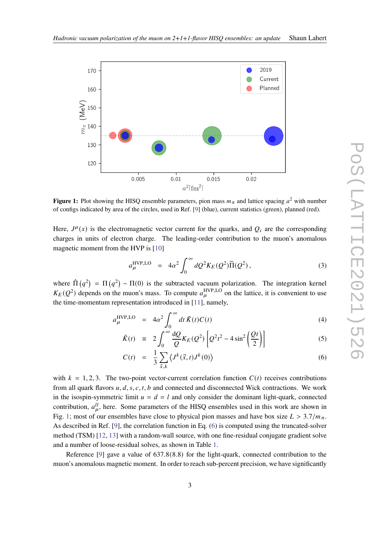<span id="page-2-0"></span>

**Figure 1:** Plot showing the HISQ ensemble parameters, pion mass  $m_{\pi}$  and lattice spacing  $a^2$  with number of configs indicated by area of the circles, used in Ref. [\[9\]](#page-8-8) (blue), current statistics (green), planned (red).

Here,  $J^{\mu}(x)$  is the electromagnetic vector current for the quarks, and  $Q_i$  are the corresponding charges in units of electron charge. The leading-order contribution to the muon's anomalous magnetic moment from the HVP is [\[10\]](#page-8-9)

$$
a_{\mu}^{\text{HVP,LO}} = 4\alpha^2 \int_0^\infty dQ^2 K_E(Q^2) \widehat{\Pi}(Q^2), \qquad (3)
$$

where  $\hat{\Pi}(q^2) = \Pi(q^2) - \Pi(0)$  is the subtracted vacuum polarization. The integration kernel  $K_E(Q^2)$  depends on the muon's mass. To compute  $a_{\mu}^{\text{HVP},\text{LO}}$  on the lattice, it is convenient to use the time-momentum representation introduced in [\[11\]](#page-8-10), namely,

<span id="page-2-1"></span>
$$
a_{\mu}^{\text{HVP,LO}} = 4\alpha^2 \int_0^{\infty} dt \,\tilde{K}(t)C(t) \tag{4}
$$

$$
\tilde{K}(t) = 2 \int_0^\infty \frac{dQ}{Q} K_E(Q^2) \left[ Q^2 t^2 - 4 \sin^2 \left( \frac{Qt}{2} \right) \right] \tag{5}
$$

$$
C(t) = \frac{1}{3} \sum_{\vec{x},k} \left\langle J^k(\vec{x},t) J^k(0) \right\rangle \tag{6}
$$

with  $k = 1, 2, 3$ . The two-point vector-current correlation function  $C(t)$  receives contributions from all quark flavors  $u, d, s, c, t, b$  and connected and disconnected Wick contractions. We work in the isospin-symmetric limit  $u = d = l$  and only consider the dominant light-quark, connected contribution,  $a_{\mu}^{ll}$ , here. Some parameters of the HISQ ensembles used in this work are shown in Fig. [1;](#page-2-0) most of our ensembles have close to physical pion masses and have box size  $L > 3.7/m_{\pi}$ . As described in Ref. [\[9\]](#page-8-8), the correlation function in Eq. [\(6\)](#page-2-1) is computed using the truncated-solver method (TSM) [\[12,](#page-8-11) [13\]](#page-8-12) with a random-wall source, with one fine-residual conjugate gradient solve and a number of loose-residual solves, as shown in Table [1.](#page-3-0)

Reference [\[9\]](#page-8-8) gave a value of 637.8(8.8) for the light-quark, connected contribution to the muon's anomalous magnetic moment. In order to reach sub-percent precision, we have significantly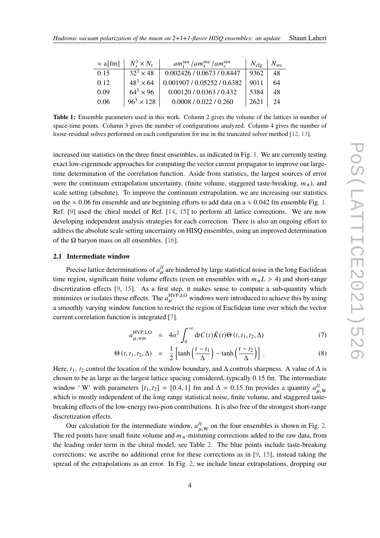<span id="page-3-0"></span>

| $\approx$ a[fm] | $N_s^3 \times N_t$ | $am_1^{\text{sea}}$ / $am_s^{\text{sea}}$ / $am_c^{\text{sea}}$ | $N_{\rm cfg}$ | $N_{\rm src}$ |
|-----------------|--------------------|-----------------------------------------------------------------|---------------|---------------|
| 0.15            | $32^3 \times 48$   | 0.002426 / 0.0673 / 0.8447                                      | 9362          | 48            |
| 0.12            | $48^3 \times 64$   | 0.001907 / 0.05252 / 0.6382                                     | 9011          | 64            |
| 0.09            | $64^3 \times 96$   | 0.00120 / 0.0363 / 0.432                                        | 5384          | 48            |
| 0.06            | $96^3 \times 128$  | 0.0008 / 0.022 / 0.260                                          | 2621          | 24            |

**Table 1:** Ensemble parameters used in this work. Column 2 gives the volume of the lattices in number of space-time points. Column 3 gives the number of configurations analyzed. Column 4 gives the number of loose-residual solves performed on each configuration for use in the truncated solver method [\[12,](#page-8-11) [13\]](#page-8-12).

increased our statistics on the three finest ensembles, as indicated in Fig. [1.](#page-2-0) We are currently testing exact low-eigenmode approaches for computing the vector current propagator to improve our largetime determination of the correlation function. Aside from statistics, the largest sources of error were the continuum extrapolation uncertainty, (finite volume, staggered taste-breaking,  $m_{\pi}$ ), and scale setting (absolute). To improve the continuum extrapolation, we are increasing our statistics on the  $\approx 0.06$  fm ensemble and are beginning efforts to add data on a  $\approx 0.042$  fm ensemble Fig. [1.](#page-2-0) Ref. [\[9\]](#page-8-8) used the chiral model of Ref. [\[14,](#page-8-13) [15\]](#page-8-14) to perform all lattice corrections. We are now developing independent analysis strategies for each correction. There is also an ongoing effort to address the absolute scale setting uncertainty on HISQ ensembles, using an improved determination of the  $\Omega$  baryon mass on all ensembles. [\[16\]](#page-8-15).

#### **2.1 Intermediate window**

Precise lattice determinations of  $a<sub>u</sub><sup>l</sup>$  are hindered by large statistical noise in the long Euclidean time region, significant finite volume effects (even on ensembles with  $m_{\pi}L > 4$ ) and short-range discretization effects [\[9,](#page-8-8) [15\]](#page-8-14). As a first step, it makes sense to compute a sub-quantity which minimizes or isolates these effects. The  $a_{\mu}^{\text{HVP},\text{LO}}$  windows were introduced to achieve this by using a smoothly varying window function to restrict the region of Euclidean time over which the vector current correlation function is integrated [\[7\]](#page-8-6).

$$
a_{\mu,\text{win}}^{\text{HVP},\text{LO}} = 4\alpha^2 \int_0^\infty dt C(t)\tilde{K}(t)\Theta(t,t_1,t_2,\Delta) \tag{7}
$$

$$
\Theta(t, t_1, t_2, \Delta) = \frac{1}{2} \left[ \tanh\left(\frac{t - t_1}{\Delta}\right) - \tanh\left(\frac{t - t_2}{\Delta}\right) \right]. \tag{8}
$$

Here,  $t_1$ ,  $t_2$  control the location of the window boundary, and  $\Delta$  controls sharpness. A value of  $\Delta$  is chosen to be as large as the largest lattice spacing considered, typically 0.15 fm. The intermediate window 'W' with parameters  $[t_1, t_2] = [0.4, 1]$  fm and  $\Delta = 0.15$  fm provides a quantity  $a_{\mu, w}^{ll}$ which is mostly independent of the long range statistical noise, finite volume, and staggered tastebreaking effects of the low-energy two-pion contributions. It is also free of the strongest short-range discretization effects.

Our calculation for the intermediate window,  $a_{\mu,\text{W}}^{ll}$  on the four ensembles is shown in Fig. [2.](#page-4-0) The red points have small finite volume and  $m_{\pi}$ -mistuning corrections added to the raw data, from the leading order term in the chiral model, see Table [2.](#page-4-1) The blue points include taste-breaking corrections; we ascribe no additional error for these corrections as in  $[9, 15]$  $[9, 15]$  $[9, 15]$ , instead taking the spread of the extrapolations as an error. In Fig. [2,](#page-4-0) we include linear extrapolations, dropping our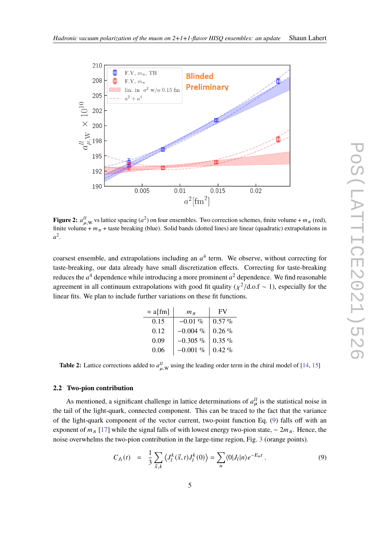<span id="page-4-0"></span>

**Figure 2:**  $a_{\mu,W}^{ll}$  vs lattice spacing  $(a^2)$  on four ensembles. Two correction schemes, finite volume +  $m_\pi$  (red), finite volume +  $m_{\pi}$  + taste breaking (blue). Solid bands (dotted lines) are linear (quadratic) extrapolations in  $a^2$ .

<span id="page-4-1"></span>coarsest ensemble, and extrapolations including an  $a<sup>4</sup>$  term. We observe, without correcting for taste-breaking, our data already have small discretization effects. Correcting for taste-breaking reduces the  $a^4$  dependence while introducing a more prominent  $a^2$  dependence. We find reasonable agreement in all continuum extrapolations with good fit quality ( $\chi^2/\text{d.o.f} \sim 1$ ), especially for the linear fits. We plan to include further variations on these fit functions.

| $\approx$ a[fm] | $m_\pi$     | FV        |
|-----------------|-------------|-----------|
| 0.15            | $-0.01\%$   | $0.57 \%$ |
| 0.12            | $-0.004\%$  | $0.26\%$  |
| 0.09            | $-0.305\%$  | $0.35 \%$ |
| 0.06            | $-0.001~\%$ | $0.42 \%$ |

**Table 2:** Lattice corrections added to  $a_{\mu,\text{W}}^{ll}$  using the leading order term in the chiral model of [\[14,](#page-8-13) [15\]](#page-8-14)

#### **2.2 Two-pion contribution**

As mentioned, a significant challenge in lattice determinations of  $a<sub>\mu</sub><sup>ll</sup>$  is the statistical noise in the tail of the light-quark, connected component. This can be traced to the fact that the variance of the light-quark component of the vector current, two-point function Eq. [\(9\)](#page-4-2) falls off with an exponent of  $m_{\pi}$  [\[17\]](#page-8-16) while the signal falls of with lowest energy two-pion state, ~  $2m_{\pi}$ . Hence, the noise overwhelms the two-pion contribution in the large-time region, Fig. [3](#page-5-0) (orange points).

<span id="page-4-2"></span>
$$
C_{J_l}(t) = \frac{1}{3} \sum_{\vec{x},k} \left\langle J_l^k(\vec{x},t) J_l^k(0) \right\rangle = \sum_n \left\langle 0 | J_l | n \right\rangle e^{-E_n t} . \tag{9}
$$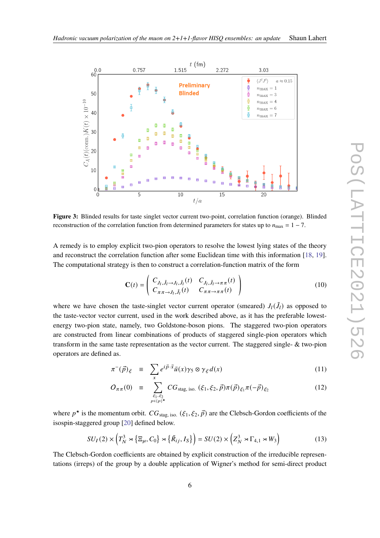<span id="page-5-0"></span>

**Figure 3:** Blinded results for taste singlet vector current two-point, correlation function (orange). Blinded reconstruction of the correlation function from determined parameters for states up to  $n_{\text{max}} = 1 - 7$ .

A remedy is to employ explicit two-pion operators to resolve the lowest lying states of the theory and reconstruct the correlation function after some Euclidean time with this information [\[18,](#page-8-17) [19\]](#page-8-18). The computational strategy is then to construct a correlation-function matrix of the form

$$
\mathbf{C}(t) = \begin{pmatrix} C_{J_l, \tilde{J}_l \to J_l, \tilde{J}_l}(t) & C_{J_l, \tilde{J}_l \to \pi \pi}(t) \\ C_{\pi \pi \to J_l, \tilde{J}_l}(t) & C_{\pi \pi \to \pi \pi}(t) \end{pmatrix}
$$
(10)

where we have chosen the taste-singlet vector current operator (smeared)  $J_l(\tilde{J}_l)$  as opposed to the taste-vector vector current, used in the work described above, as it has the preferable lowestenergy two-pion state, namely, two Goldstone-boson pions. The staggered two-pion operators are constructed from linear combinations of products of staggered single-pion operators which transform in the same taste representation as the vector current. The staggered single- & two-pion operators are defined as.

$$
\pi^{-}(\vec{p})_{\xi} \equiv \sum_{x} e^{i\vec{p}\cdot\vec{x}} \bar{u}(x)\gamma_{5} \otimes \gamma_{\xi} d(x) \qquad (11)
$$

$$
O_{\pi\pi}(0) \equiv \sum_{\substack{\xi_1, \xi_2 \\ p \in \{p\}^{\star}}} CG_{\text{stag, iso.}}(\xi_1, \xi_2, \vec{p}) \pi(\vec{p})_{\xi_1} \pi(-\vec{p})_{\xi_2}
$$
(12)

where  $p^*$  is the momentum orbit.  $CG_{stag, iso.} (\xi_1, \xi_2, \vec{p})$  are the Clebsch-Gordon coefficients of the isospin-staggered group [\[20\]](#page-8-19) defined below.

$$
SU_I(2) \times \left(T_N^3 \rtimes \{\Xi_\mu, C_0\} \rtimes \{\tilde{R}_{ij}, I_S\}\right) = SU(2) \times \left(Z_N^3 \rtimes \Gamma_{4,1} \rtimes W_3\right) \tag{13}
$$

The Clebsch-Gordon coefficients are obtained by explicit construction of the irreducible representations (irreps) of the group by a double application of Wigner's method for semi-direct product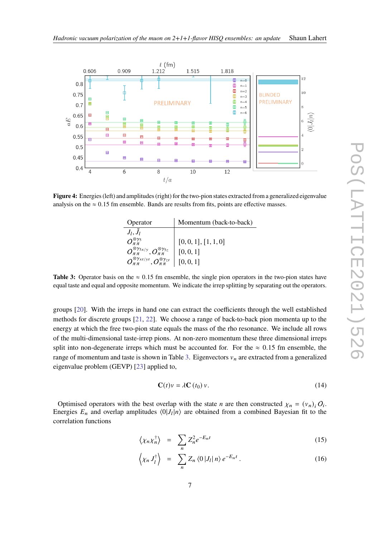<span id="page-6-1"></span>

<span id="page-6-0"></span>**Figure 4:** Energies (left) and amplitudes (right) for the two-pion states extracted from a generalized eigenvalue analysis on the  $\approx 0.15$  fm ensemble. Bands are results from fits, points are effective masses.

| Operator                                                                | Momentum (back-to-back) |
|-------------------------------------------------------------------------|-------------------------|
| $J_l, \tilde{J}_l$                                                      |                         |
| $O_{\pi\pi}^{\otimes\gamma_5}$                                          | [0, 0, 1], [1, 1, 0]    |
| $O^{\otimes\gamma_{5x/y}}_{\pi\pi}, O^{\otimes\gamma_{5z}}_{\pi\pi}$    | [0, 0, 1]               |
| $O^{\otimes \gamma_{xt/yt}}_{\pi\pi}, O^{\otimes \gamma_{zt}}_{\pi\pi}$ | [0, 0, 1]               |

**Table 3:** Operator basis on the  $\approx 0.15$  fm ensemble, the single pion operators in the two-pion states have equal taste and equal and opposite momentum. We indicate the irrep splitting by separating out the operators.

groups [\[20\]](#page-8-19). With the irreps in hand one can extract the coefficients through the well established methods for discrete groups [\[21,](#page-8-20) [22\]](#page-8-21). We choose a range of back-to-back pion momenta up to the energy at which the free two-pion state equals the mass of the rho resonance. We include all rows of the multi-dimensional taste-irrep pions. At non-zero momentum these three dimensional irreps split into non-degenerate irreps which must be accounted for. For the  $\approx 0.15$  fm ensemble, the range of momentum and taste is shown in Table [3.](#page-6-0) Eigenvectors  $v_n$  are extracted from a generalized eigenvalue problem (GEVP) [\[23\]](#page-8-22) applied to,

$$
\mathbf{C}(t)v = \lambda \mathbf{C}(t_0)v. \tag{14}
$$

Optimised operators with the best overlap with the state *n* are then constructed  $\chi_n = (v_n)_i O_i$ . Energies  $E_n$  and overlap amplitudes  $\langle 0|J_i|n\rangle$  are obtained from a combined Bayesian fit to the correlation functions

$$
\left\langle \chi_n \chi_n^{\dagger} \right\rangle = \sum_n Z_n^2 e^{-E_n t} \tag{15}
$$

$$
\left\langle \chi_n J_l^{\dagger} \right\rangle = \sum_n Z_n \left\langle 0 | J_l | n \right\rangle e^{-E_n t} . \tag{16}
$$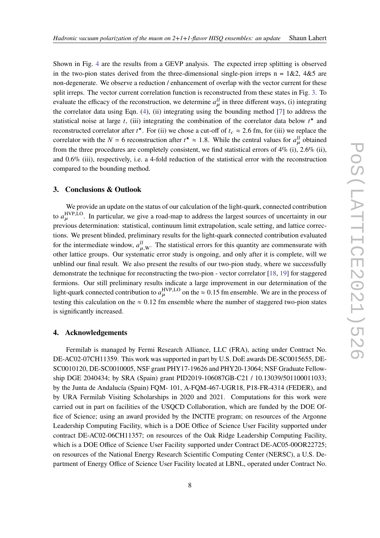Shown in Fig. [4](#page-6-1) are the results from a GEVP analysis. The expected irrep splitting is observed in the two-pion states derived from the three-dimensional single-pion irreps n =  $1&2, 4&5$  are non-degenerate. We observe a reduction / enhancement of overlap with the vector current for these split irreps. The vector current correlation function is reconstructed from these states in Fig. [3.](#page-5-0) To evaluate the efficacy of the reconstruction, we determine  $a_u^{\dagger}$  in three different ways, (i) integrating the correlator data using Eqn. [\(4\)](#page-2-1), (ii) integrating using the bounding method [\[7\]](#page-8-6) to address the statistical noise at large *t*, (iii) integrating the combination of the correlator data below  $t^*$  and reconstructed correlator after  $t^*$ . For (ii) we chose a cut-off of  $t_c \approx 2.6$  fm, for (iii) we replace the correlator with the  $N = 6$  reconstruction after  $t^* \approx 1.8$ . While the central values for  $a_{\mu}^{ll}$  obtained from the three procedures are completely consistent, we find statistical errors of 4% (i), 2.6% (ii), and 0.6% (iii), respectively, i.e. a 4-fold reduction of the statistical error with the reconstruction compared to the bounding method.

#### **3. Conclusions & Outlook**

We provide an update on the status of our calculation of the light-quark, connected contribution to  $a_{\mu}^{\text{HVP},\text{LO}}$ . In particular, we give a road-map to address the largest sources of uncertainty in our previous determination: statistical, continuum limit extrapolation, scale setting, and lattice corrections. We present blinded, preliminary results for the light-quark connected contribution evaluated for the intermediate window,  $a_{\mu,\text{W}}^{ll}$ . The statistical errors for this quantity are commensurate with other lattice groups. Our systematic error study is ongoing, and only after it is complete, will we unblind our final result. We also present the results of our two-pion study, where we successfully demonstrate the technique for reconstructing the two-pion - vector correlator [\[18,](#page-8-17) [19\]](#page-8-18) for staggered fermions. Our still preliminary results indicate a large improvement in our determination of the light-quark connected contribution to  $a_{\mu}^{\text{HVP},\text{LO}}$  on the  $\approx 0.15$  fm ensemble. We are in the process of testing this calculation on the  $\approx 0.12$  fm ensemble where the number of staggered two-pion states is significantly increased.

## **4. Acknowledgements**

Fermilab is managed by Fermi Research Alliance, LLC (FRA), acting under Contract No. DE-AC02-07CH11359. This work was supported in part by U.S. DoE awards DE-SC0015655, DE-SC0010120, DE-SC0010005, NSF grant PHY17-19626 and PHY20-13064; NSF Graduate Fellowship DGE 2040434; by SRA (Spain) grant PID2019-106087GB-C21 / 10.13039/501100011033; by the Junta de Andalucía (Spain) FQM- 101, A-FQM-467-UGR18, P18-FR-4314 (FEDER), and by URA Fermilab Visiting Scholarships in 2020 and 2021. Computations for this work were carried out in part on facilities of the USQCD Collaboration, which are funded by the DOE Office of Science; using an award provided by the INCITE program; on resources of the Argonne Leadership Computing Facility, which is a DOE Office of Science User Facility supported under contract DE-AC02-06CH11357; on resources of the Oak Ridge Leadership Computing Facility, which is a DOE Office of Science User Facility supported under Contract DE-AC05-00OR22725; on resources of the National Energy Research Scientific Computing Center (NERSC), a U.S. Department of Energy Office of Science User Facility located at LBNL, operated under Contract No.